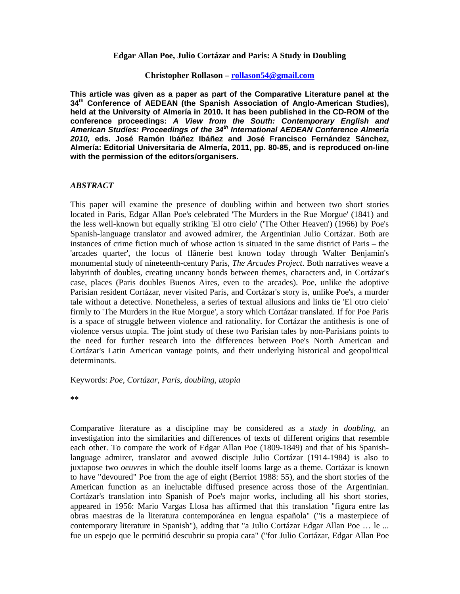## **Edgar Allan Poe, Julio Cortázar and Paris: A Study in Doubling**

## **Christopher Rollason – rollason54@gmail.com**

**This article was given as a paper as part of the Comparative Literature panel at the 34th Conference of AEDEAN (the Spanish Association of Anglo-American Studies), held at the University of Almería in 2010. It has been published in the CD-ROM of the conference proceedings:** *A View from the South: Contemporary English and American Studies: Proceedings of the 34th International AEDEAN Conference Almería 2010,* **eds. José Ramón Ibáñez Ibáñez and José Francisco Fernández Sánchez, Almería: Editorial Universitaria de Almería, 2011, pp. 80-85, and is reproduced on-line with the permission of the editors/organisers.**

## *ABSTRACT*

This paper will examine the presence of doubling within and between two short stories located in Paris, Edgar Allan Poe's celebrated 'The Murders in the Rue Morgue' (1841) and the less well-known but equally striking 'El otro cielo' ('The Other Heaven') (1966) by Poe's Spanish-language translator and avowed admirer, the Argentinian Julio Cortázar. Both are instances of crime fiction much of whose action is situated in the same district of Paris – the 'arcades quarter', the locus of flânerie best known today through Walter Benjamin's monumental study of nineteenth-century Paris, *The Arcades Project*. Both narratives weave a labyrinth of doubles, creating uncanny bonds between themes, characters and, in Cortázar's case, places (Paris doubles Buenos Aires, even to the arcades). Poe, unlike the adoptive Parisian resident Cortázar, never visited Paris, and Cortázar's story is, unlike Poe's, a murder tale without a detective. Nonetheless, a series of textual allusions and links tie 'El otro cielo' firmly to 'The Murders in the Rue Morgue', a story which Cortázar translated. If for Poe Paris is a space of struggle between violence and rationality. for Cortázar the antithesis is one of violence versus utopia. The joint study of these two Parisian tales by non-Parisians points to the need for further research into the differences between Poe's North American and Cortázar's Latin American vantage points, and their underlying historical and geopolitical determinants.

Keywords: *Poe, Cortázar, Paris, doubling, utopia*

**\*\***

Comparative literature as a discipline may be considered as a *study in doubling*, an investigation into the similarities and differences of texts of different origins that resemble each other. To compare the work of Edgar Allan Poe (1809-1849) and that of his Spanishlanguage admirer, translator and avowed disciple Julio Cortázar (1914-1984) is also to juxtapose two *oeuvres* in which the double itself looms large as a theme. Cortázar is known to have "devoured" Poe from the age of eight (Berriot 1988: 55), and the short stories of the American function as an ineluctable diffused presence across those of the Argentinian. Cortázar's translation into Spanish of Poe's major works, including all his short stories, appeared in 1956: Mario Vargas Llosa has affirmed that this translation "figura entre las obras maestras de la literatura contemporánea en lengua española" ("is a masterpiece of contemporary literature in Spanish"), adding that "a Julio Cortázar Edgar Allan Poe … le ... fue un espejo que le permitió descubrir su propia cara" ("for Julio Cortázar, Edgar Allan Poe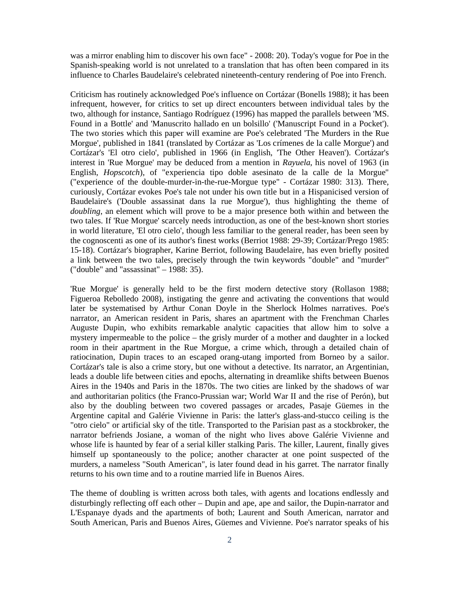was a mirror enabling him to discover his own face" - 2008: 20). Today's vogue for Poe in the Spanish-speaking world is not unrelated to a translation that has often been compared in its influence to Charles Baudelaire's celebrated nineteenth-century rendering of Poe into French.

Criticism has routinely acknowledged Poe's influence on Cortázar (Bonells 1988); it has been infrequent, however, for critics to set up direct encounters between individual tales by the two, although for instance, Santiago Rodríguez (1996) has mapped the parallels between 'MS. Found in a Bottle' and 'Manuscrito hallado en un bolsillo' ('Manuscript Found in a Pocket'). The two stories which this paper will examine are Poe's celebrated 'The Murders in the Rue Morgue', published in 1841 (translated by Cortázar as 'Los crímenes de la calle Morgue') and Cortázar's 'El otro cielo', published in 1966 (in English, 'The Other Heaven'). Cortázar's interest in 'Rue Morgue' may be deduced from a mention in *Rayuela*, his novel of 1963 (in English, *Hopscotch*), of "experiencia tipo doble asesinato de la calle de la Morgue" ("experience of the double-murder-in-the-rue-Morgue type" - Cortázar 1980: 313). There, curiously, Cortázar evokes Poe's tale not under his own title but in a Hispanicised version of Baudelaire's ('Double assassinat dans la rue Morgue'), thus highlighting the theme of *doubling*, an element which will prove to be a major presence both within and between the two tales. If 'Rue Morgue' scarcely needs introduction, as one of the best-known short stories in world literature, 'El otro cielo', though less familiar to the general reader, has been seen by the cognoscenti as one of its author's finest works (Berriot 1988: 29-39; Cortázar/Prego 1985: 15-18). Cortázar's biographer, Karine Berriot, following Baudelaire, has even briefly posited a link between the two tales, precisely through the twin keywords "double" and "murder" ("double" and "assassinat" – 1988: 35).

'Rue Morgue' is generally held to be the first modern detective story (Rollason 1988; Figueroa Rebolledo 2008), instigating the genre and activating the conventions that would later be systematised by Arthur Conan Doyle in the Sherlock Holmes narratives. Poe's narrator, an American resident in Paris, shares an apartment with the Frenchman Charles Auguste Dupin, who exhibits remarkable analytic capacities that allow him to solve a mystery impermeable to the police – the grisly murder of a mother and daughter in a locked room in their apartment in the Rue Morgue, a crime which, through a detailed chain of ratiocination, Dupin traces to an escaped orang-utang imported from Borneo by a sailor. Cortázar's tale is also a crime story, but one without a detective. Its narrator, an Argentinian, leads a double life between cities and epochs, alternating in dreamlike shifts between Buenos Aires in the 1940s and Paris in the 1870s. The two cities are linked by the shadows of war and authoritarian politics (the Franco-Prussian war; World War II and the rise of Perón), but also by the doubling between two covered passages or arcades, Pasaje Güemes in the Argentine capital and Galérie Vivienne in Paris: the latter's glass-and-stucco ceiling is the "otro cielo" or artificial sky of the title. Transported to the Parisian past as a stockbroker, the narrator befriends Josiane, a woman of the night who lives above Galérie Vivienne and whose life is haunted by fear of a serial killer stalking Paris. The killer, Laurent, finally gives himself up spontaneously to the police; another character at one point suspected of the murders, a nameless "South American", is later found dead in his garret. The narrator finally returns to his own time and to a routine married life in Buenos Aires.

The theme of doubling is written across both tales, with agents and locations endlessly and disturbingly reflecting off each other – Dupin and ape, ape and sailor, the Dupin-narrator and L'Espanaye dyads and the apartments of both; Laurent and South American, narrator and South American, Paris and Buenos Aires, Güemes and Vivienne. Poe's narrator speaks of his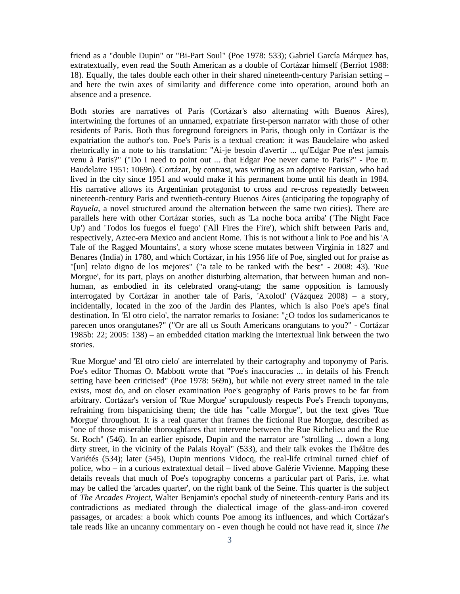friend as a "double Dupin" or "Bi-Part Soul" (Poe 1978: 533); Gabriel García Márquez has, extratextually, even read the South American as a double of Cortázar himself (Berriot 1988: 18). Equally, the tales double each other in their shared nineteenth-century Parisian setting – and here the twin axes of similarity and difference come into operation, around both an absence and a presence.

Both stories are narratives of Paris (Cortázar's also alternating with Buenos Aires), intertwining the fortunes of an unnamed, expatriate first-person narrator with those of other residents of Paris. Both thus foreground foreigners in Paris, though only in Cortázar is the expatriation the author's too. Poe's Paris is a textual creation: it was Baudelaire who asked rhetorically in a note to his translation: "Ai-je besoin d'avertir ... qu'Edgar Poe n'est jamais venu à Paris?" ("Do I need to point out ... that Edgar Poe never came to Paris?" - Poe tr. Baudelaire 1951: 1069n). Cortázar, by contrast, was writing as an adoptive Parisian, who had lived in the city since 1951 and would make it his permanent home until his death in 1984. His narrative allows its Argentinian protagonist to cross and re-cross repeatedly between nineteenth-century Paris and twentieth-century Buenos Aires (anticipating the topography of *Rayuela*, a novel structured around the alternation between the same two cities). There are parallels here with other Cortázar stories, such as 'La noche boca arriba' ('The Night Face Up') and 'Todos los fuegos el fuego' ('All Fires the Fire'), which shift between Paris and, respectively, Aztec-era Mexico and ancient Rome. This is not without a link to Poe and his 'A Tale of the Ragged Mountains', a story whose scene mutates between Virginia in 1827 and Benares (India) in 1780, and which Cortázar, in his 1956 life of Poe, singled out for praise as "[un] relato digno de los mejores" ("a tale to be ranked with the best" - 2008: 43). 'Rue Morgue', for its part, plays on another disturbing alternation, that between human and nonhuman, as embodied in its celebrated orang-utang; the same opposition is famously interrogated by Cortázar in another tale of Paris, 'Axolotl' (Vázquez 2008) – a story, incidentally, located in the zoo of the Jardin des Plantes, which is also Poe's ape's final destination. In 'El otro cielo', the narrator remarks to Josiane: "¿O todos los sudamericanos te parecen unos orangutanes?" ("Or are all us South Americans orangutans to you?" - Cortázar 1985b: 22; 2005: 138) – an embedded citation marking the intertextual link between the two stories.

'Rue Morgue' and 'El otro cielo' are interrelated by their cartography and toponymy of Paris. Poe's editor Thomas O. Mabbott wrote that "Poe's inaccuracies ... in details of his French setting have been criticised" (Poe 1978: 569n), but while not every street named in the tale exists, most do, and on closer examination Poe's geography of Paris proves to be far from arbitrary. Cortázar's version of 'Rue Morgue' scrupulously respects Poe's French toponyms, refraining from hispanicising them; the title has "calle Morgue", but the text gives 'Rue Morgue' throughout. It is a real quarter that frames the fictional Rue Morgue, described as "one of those miserable thoroughfares that intervene between the Rue Richelieu and the Rue St. Roch" (546). In an earlier episode, Dupin and the narrator are "strolling ... down a long dirty street, in the vicinity of the Palais Royal" (533), and their talk evokes the Théâtre des Variétés (534); later (545), Dupin mentions Vidocq, the real-life criminal turned chief of police, who – in a curious extratextual detail – lived above Galérie Vivienne. Mapping these details reveals that much of Poe's topography concerns a particular part of Paris, i.e. what may be called the 'arcades quarter', on the right bank of the Seine. This quarter is the subject of *The Arcades Project*, Walter Benjamin's epochal study of nineteenth-century Paris and its contradictions as mediated through the dialectical image of the glass-and-iron covered passages, or arcades: a book which counts Poe among its influences, and which Cortázar's tale reads like an uncanny commentary on - even though he could not have read it, since *The*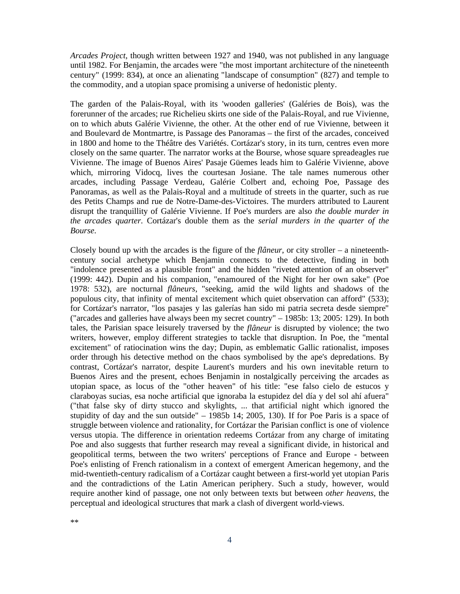*Arcades Project*, though written between 1927 and 1940, was not published in any language until 1982. For Benjamin, the arcades were "the most important architecture of the nineteenth century" (1999: 834), at once an alienating "landscape of consumption" (827) and temple to the commodity, and a utopian space promising a universe of hedonistic plenty.

The garden of the Palais-Royal, with its 'wooden galleries' (Galéries de Bois), was the forerunner of the arcades; rue Richelieu skirts one side of the Palais-Royal, and rue Vivienne, on to which abuts Galérie Vivienne, the other. At the other end of rue Vivienne, between it and Boulevard de Montmartre, is Passage des Panoramas – the first of the arcades, conceived in 1800 and home to the Théâtre des Variétés. Cortázar's story, in its turn, centres even more closely on the same quarter. The narrator works at the Bourse, whose square spreadeagles rue Vivienne. The image of Buenos Aires' Pasaje Güemes leads him to Galérie Vivienne, above which, mirroring Vidocq, lives the courtesan Josiane. The tale names numerous other arcades, including Passage Verdeau, Galérie Colbert and, echoing Poe, Passage des Panoramas, as well as the Palais-Royal and a multitude of streets in the quarter, such as rue des Petits Champs and rue de Notre-Dame-des-Victoires. The murders attributed to Laurent disrupt the tranquillity of Galérie Vivienne. If Poe's murders are also *the double murder in the arcades quarter*. Cortázar's double them as the *serial murders in the quarter of the Bourse*.

Closely bound up with the arcades is the figure of the *flâneur*, or city stroller – a nineteenthcentury social archetype which Benjamin connects to the detective, finding in both "indolence presented as a plausible front" and the hidden "riveted attention of an observer" (1999: 442). Dupin and his companion, "enamoured of the Night for her own sake" (Poe 1978: 532), are nocturnal *flâneurs*, "seeking, amid the wild lights and shadows of the populous city, that infinity of mental excitement which quiet observation can afford" (533); for Cortázar's narrator, "los pasajes y las galerías han sido mi patria secreta desde siempre" ("arcades and galleries have always been my secret country" – 1985b: 13; 2005: 129). In both tales, the Parisian space leisurely traversed by the *flâneur* is disrupted by violence; the two writers, however, employ different strategies to tackle that disruption. In Poe, the "mental excitement" of ratiocination wins the day; Dupin, as emblematic Gallic rationalist, imposes order through his detective method on the chaos symbolised by the ape's depredations. By contrast, Cortázar's narrator, despite Laurent's murders and his own inevitable return to Buenos Aires and the present, echoes Benjamin in nostalgically perceiving the arcades as utopian space, as locus of the "other heaven" of his title: "ese falso cielo de estucos y claraboyas sucias, esa noche artificial que ignoraba la estupidez del día y del sol ahí afuera" ("that false sky of dirty stucco and skylights, ... that artificial night which ignored the stupidity of day and the sun outside" – 1985b 14; 2005, 130). If for Poe Paris is a space of struggle between violence and rationality, for Cortázar the Parisian conflict is one of violence versus utopia. The difference in orientation redeems Cortázar from any charge of imitating Poe and also suggests that further research may reveal a significant divide, in historical and geopolitical terms, between the two writers' perceptions of France and Europe - between Poe's enlisting of French rationalism in a context of emergent American hegemony, and the mid-twentieth-century radicalism of a Cortázar caught between a first-world yet utopian Paris and the contradictions of the Latin American periphery. Such a study, however, would require another kind of passage, one not only between texts but between *other heavens*, the perceptual and ideological structures that mark a clash of divergent world-views.